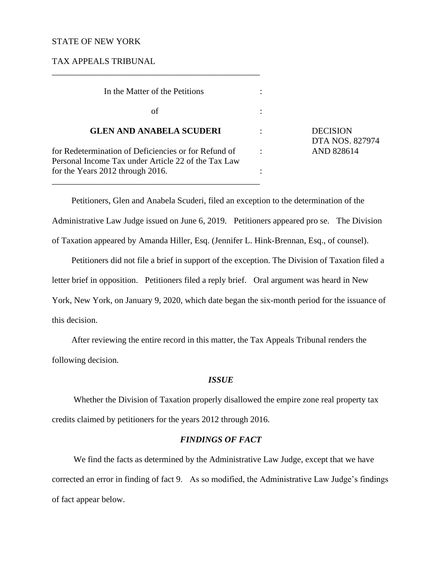### STATE OF NEW YORK

TAX APPEALS TRIBUNAL

 In the Matter of the Petitions :  $\int$  of  $\int$  : **GLEN AND ANABELA SCUDERI** : DECISION for Redetermination of Deficiencies or for Refund of : AND 828614 Personal Income Tax under Article 22 of the Tax Law for the Years 2012 through 2016. \_\_\_\_\_\_\_\_\_\_\_\_\_\_\_\_\_\_\_\_\_\_\_\_\_\_\_\_\_\_\_\_\_\_\_\_\_\_\_\_\_\_\_\_\_\_\_\_

\_\_\_\_\_\_\_\_\_\_\_\_\_\_\_\_\_\_\_\_\_\_\_\_\_\_\_\_\_\_\_\_\_\_\_\_\_\_\_\_\_\_\_\_\_\_\_\_

DTA NOS. 827974

Petitioners, Glen and Anabela Scuderi, filed an exception to the determination of the Administrative Law Judge issued on June 6, 2019. Petitioners appeared pro se. The Division of Taxation appeared by Amanda Hiller, Esq. (Jennifer L. Hink-Brennan, Esq., of counsel).

Petitioners did not file a brief in support of the exception. The Division of Taxation filed a letter brief in opposition. Petitioners filed a reply brief. Oral argument was heard in New York, New York, on January 9, 2020, which date began the six-month period for the issuance of this decision.

After reviewing the entire record in this matter, the Tax Appeals Tribunal renders the following decision.

### *ISSUE*

Whether the Division of Taxation properly disallowed the empire zone real property tax credits claimed by petitioners for the years 2012 through 2016.

## *FINDINGS OF FACT*

We find the facts as determined by the Administrative Law Judge, except that we have corrected an error in finding of fact 9. As so modified, the Administrative Law Judge's findings of fact appear below.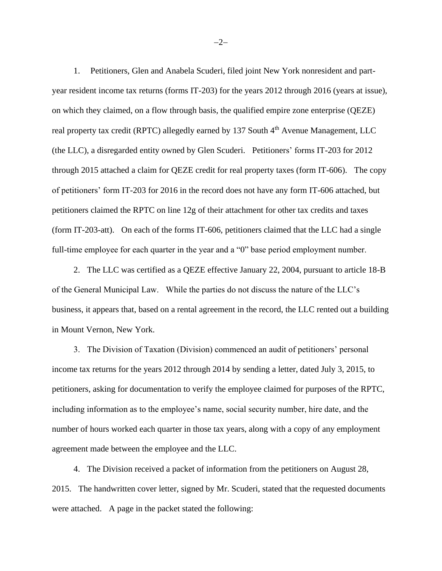1. Petitioners, Glen and Anabela Scuderi, filed joint New York nonresident and partyear resident income tax returns (forms IT-203) for the years 2012 through 2016 (years at issue), on which they claimed, on a flow through basis, the qualified empire zone enterprise (QEZE) real property tax credit (RPTC) allegedly earned by 137 South 4<sup>th</sup> Avenue Management, LLC (the LLC), a disregarded entity owned by Glen Scuderi. Petitioners' forms IT-203 for 2012 through 2015 attached a claim for QEZE credit for real property taxes (form IT-606). The copy of petitioners' form IT-203 for 2016 in the record does not have any form IT-606 attached, but petitioners claimed the RPTC on line 12g of their attachment for other tax credits and taxes (form IT-203-att). On each of the forms IT-606, petitioners claimed that the LLC had a single full-time employee for each quarter in the year and a "0" base period employment number.

2. The LLC was certified as a QEZE effective January 22, 2004, pursuant to article 18-B of the General Municipal Law. While the parties do not discuss the nature of the LLC's business, it appears that, based on a rental agreement in the record, the LLC rented out a building in Mount Vernon, New York.

3. The Division of Taxation (Division) commenced an audit of petitioners' personal income tax returns for the years 2012 through 2014 by sending a letter, dated July 3, 2015, to petitioners, asking for documentation to verify the employee claimed for purposes of the RPTC, including information as to the employee's name, social security number, hire date, and the number of hours worked each quarter in those tax years, along with a copy of any employment agreement made between the employee and the LLC.

4. The Division received a packet of information from the petitioners on August 28, 2015. The handwritten cover letter, signed by Mr. Scuderi, stated that the requested documents were attached. A page in the packet stated the following:

−2−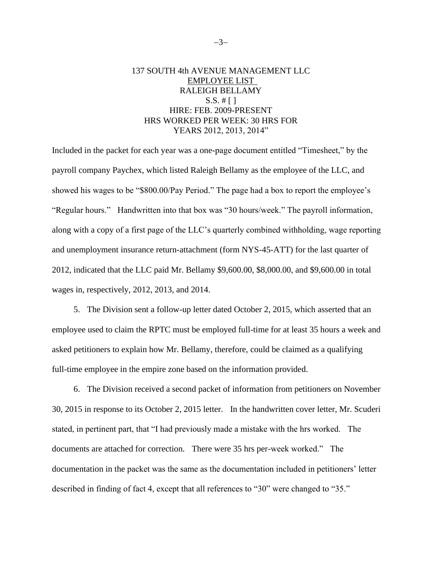# 137 SOUTH 4th AVENUE MANAGEMENT LLC EMPLOYEE LIST RALEIGH BELLAMY  $S.S. # [ ]$ HIRE: FEB. 2009-PRESENT HRS WORKED PER WEEK: 30 HRS FOR YEARS 2012, 2013, 2014"

Included in the packet for each year was a one-page document entitled "Timesheet," by the payroll company Paychex, which listed Raleigh Bellamy as the employee of the LLC, and showed his wages to be "\$800.00/Pay Period." The page had a box to report the employee's "Regular hours." Handwritten into that box was "30 hours/week." The payroll information, along with a copy of a first page of the LLC's quarterly combined withholding, wage reporting and unemployment insurance return-attachment (form NYS-45-ATT) for the last quarter of 2012, indicated that the LLC paid Mr. Bellamy \$9,600.00, \$8,000.00, and \$9,600.00 in total wages in, respectively, 2012, 2013, and 2014.

5. The Division sent a follow-up letter dated October 2, 2015, which asserted that an employee used to claim the RPTC must be employed full-time for at least 35 hours a week and asked petitioners to explain how Mr. Bellamy, therefore, could be claimed as a qualifying full-time employee in the empire zone based on the information provided.

6. The Division received a second packet of information from petitioners on November 30, 2015 in response to its October 2, 2015 letter. In the handwritten cover letter, Mr. Scuderi stated, in pertinent part, that "I had previously made a mistake with the hrs worked. The documents are attached for correction. There were 35 hrs per-week worked." The documentation in the packet was the same as the documentation included in petitioners' letter described in finding of fact 4, except that all references to "30" were changed to "35."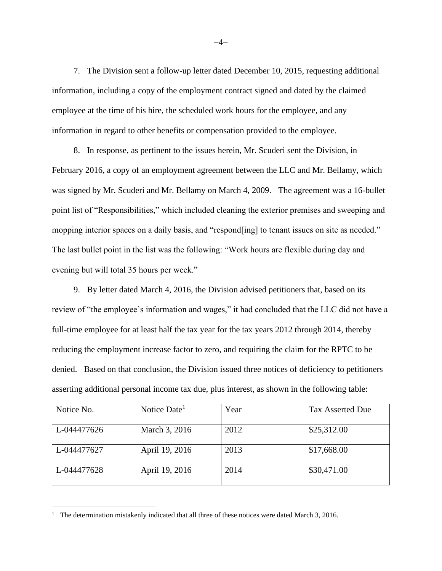7. The Division sent a follow-up letter dated December 10, 2015, requesting additional information, including a copy of the employment contract signed and dated by the claimed employee at the time of his hire, the scheduled work hours for the employee, and any information in regard to other benefits or compensation provided to the employee.

8. In response, as pertinent to the issues herein, Mr. Scuderi sent the Division, in February 2016, a copy of an employment agreement between the LLC and Mr. Bellamy, which was signed by Mr. Scuderi and Mr. Bellamy on March 4, 2009. The agreement was a 16-bullet point list of "Responsibilities," which included cleaning the exterior premises and sweeping and mopping interior spaces on a daily basis, and "respond [ing] to tenant issues on site as needed." The last bullet point in the list was the following: "Work hours are flexible during day and evening but will total 35 hours per week."

9. By letter dated March 4, 2016, the Division advised petitioners that, based on its review of "the employee's information and wages," it had concluded that the LLC did not have a full-time employee for at least half the tax year for the tax years 2012 through 2014, thereby reducing the employment increase factor to zero, and requiring the claim for the RPTC to be denied. Based on that conclusion, the Division issued three notices of deficiency to petitioners asserting additional personal income tax due, plus interest, as shown in the following table:

| Notice No.  | Notice Date    | Year | <b>Tax Asserted Due</b> |
|-------------|----------------|------|-------------------------|
| L-044477626 | March 3, 2016  | 2012 | \$25,312.00             |
| L-044477627 | April 19, 2016 | 2013 | \$17,668.00             |
| L-044477628 | April 19, 2016 | 2014 | \$30,471.00             |

<sup>&</sup>lt;sup>1</sup> The determination mistakenly indicated that all three of these notices were dated March 3, 2016.

−4−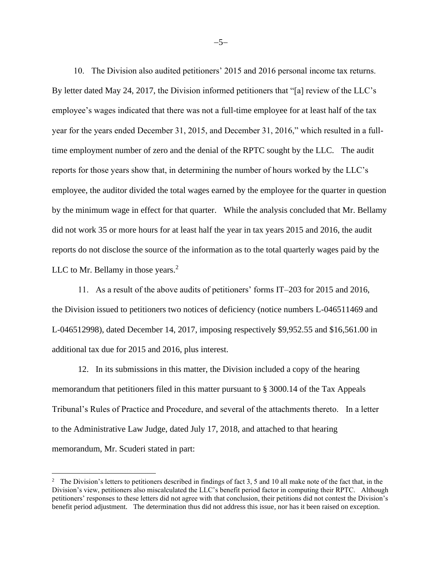10. The Division also audited petitioners' 2015 and 2016 personal income tax returns. By letter dated May 24, 2017, the Division informed petitioners that "[a] review of the LLC's employee's wages indicated that there was not a full-time employee for at least half of the tax year for the years ended December 31, 2015, and December 31, 2016," which resulted in a fulltime employment number of zero and the denial of the RPTC sought by the LLC. The audit reports for those years show that, in determining the number of hours worked by the LLC's employee, the auditor divided the total wages earned by the employee for the quarter in question by the minimum wage in effect for that quarter. While the analysis concluded that Mr. Bellamy did not work 35 or more hours for at least half the year in tax years 2015 and 2016, the audit reports do not disclose the source of the information as to the total quarterly wages paid by the LLC to Mr. Bellamy in those years. $<sup>2</sup>$ </sup>

11. As a result of the above audits of petitioners' forms IT–203 for 2015 and 2016, the Division issued to petitioners two notices of deficiency (notice numbers L-046511469 and L-046512998), dated December 14, 2017, imposing respectively \$9,952.55 and \$16,561.00 in additional tax due for 2015 and 2016, plus interest.

12. In its submissions in this matter, the Division included a copy of the hearing memorandum that petitioners filed in this matter pursuant to § 3000.14 of the Tax Appeals Tribunal's Rules of Practice and Procedure, and several of the attachments thereto. In a letter to the Administrative Law Judge, dated July 17, 2018, and attached to that hearing memorandum, Mr. Scuderi stated in part:

−5−

<sup>&</sup>lt;sup>2</sup> The Division's letters to petitioners described in findings of fact 3, 5 and 10 all make note of the fact that, in the Division's view, petitioners also miscalculated the LLC's benefit period factor in computing their RPTC. Although petitioners' responses to these letters did not agree with that conclusion, their petitions did not contest the Division's benefit period adjustment. The determination thus did not address this issue, nor has it been raised on exception.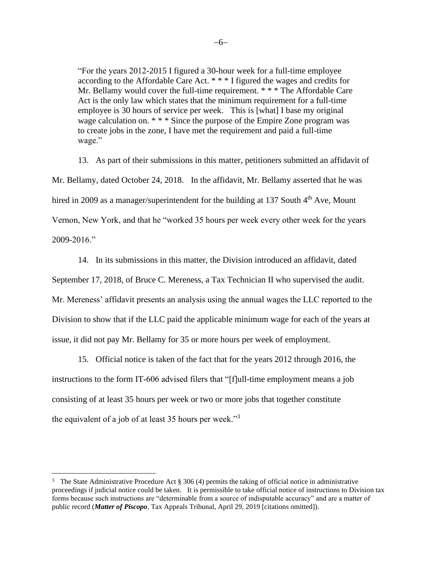"For the years 2012-2015 I figured a 30-hour week for a full-time employee according to the Affordable Care Act. \* \* \* I figured the wages and credits for Mr. Bellamy would cover the full-time requirement. \* \* \* The Affordable Care Act is the only law which states that the minimum requirement for a full-time employee is 30 hours of service per week. This is [what] I base my original wage calculation on. \* \* \* Since the purpose of the Empire Zone program was to create jobs in the zone, I have met the requirement and paid a full-time wage."

13. As part of their submissions in this matter, petitioners submitted an affidavit of Mr. Bellamy, dated October 24, 2018. In the affidavit, Mr. Bellamy asserted that he was hired in 2009 as a manager/superintendent for the building at 137 South  $4<sup>th</sup>$  Ave, Mount Vernon, New York, and that he "worked 35 hours per week every other week for the years 2009-2016."

14. In its submissions in this matter, the Division introduced an affidavit, dated

September 17, 2018, of Bruce C. Mereness, a Tax Technician II who supervised the audit. Mr. Mereness' affidavit presents an analysis using the annual wages the LLC reported to the Division to show that if the LLC paid the applicable minimum wage for each of the years at issue, it did not pay Mr. Bellamy for 35 or more hours per week of employment.

15. Official notice is taken of the fact that for the years 2012 through 2016, the instructions to the form IT-606 advised filers that "[f]ull-time employment means a job consisting of at least 35 hours per week or two or more jobs that together constitute the equivalent of a job of at least 35 hours per week."<sup>3</sup>

<sup>&</sup>lt;sup>3</sup> The State Administrative Procedure Act § 306 (4) permits the taking of official notice in administrative proceedings if judicial notice could be taken. It is permissible to take official notice of instructions to Division tax forms because such instructions are "determinable from a source of indisputable accuracy" and are a matter of public record (*Matter of Piscopo*, Tax Appeals Tribunal, April 29, 2019 [citations omitted]).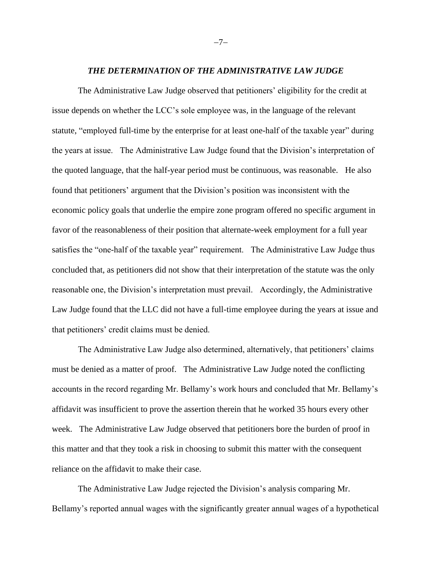#### *THE DETERMINATION OF THE ADMINISTRATIVE LAW JUDGE*

The Administrative Law Judge observed that petitioners' eligibility for the credit at issue depends on whether the LCC's sole employee was, in the language of the relevant statute, "employed full-time by the enterprise for at least one-half of the taxable year" during the years at issue. The Administrative Law Judge found that the Division's interpretation of the quoted language, that the half-year period must be continuous, was reasonable. He also found that petitioners' argument that the Division's position was inconsistent with the economic policy goals that underlie the empire zone program offered no specific argument in favor of the reasonableness of their position that alternate-week employment for a full year satisfies the "one-half of the taxable year" requirement. The Administrative Law Judge thus concluded that, as petitioners did not show that their interpretation of the statute was the only reasonable one, the Division's interpretation must prevail. Accordingly, the Administrative Law Judge found that the LLC did not have a full-time employee during the years at issue and that petitioners' credit claims must be denied.

The Administrative Law Judge also determined, alternatively, that petitioners' claims must be denied as a matter of proof. The Administrative Law Judge noted the conflicting accounts in the record regarding Mr. Bellamy's work hours and concluded that Mr. Bellamy's affidavit was insufficient to prove the assertion therein that he worked 35 hours every other week. The Administrative Law Judge observed that petitioners bore the burden of proof in this matter and that they took a risk in choosing to submit this matter with the consequent reliance on the affidavit to make their case.

The Administrative Law Judge rejected the Division's analysis comparing Mr. Bellamy's reported annual wages with the significantly greater annual wages of a hypothetical

−7−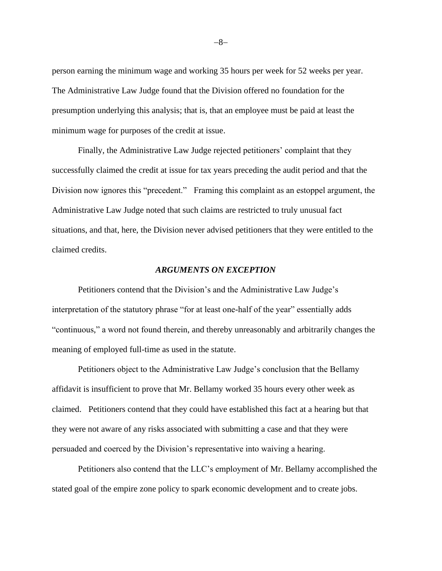person earning the minimum wage and working 35 hours per week for 52 weeks per year. The Administrative Law Judge found that the Division offered no foundation for the presumption underlying this analysis; that is, that an employee must be paid at least the minimum wage for purposes of the credit at issue.

Finally, the Administrative Law Judge rejected petitioners' complaint that they successfully claimed the credit at issue for tax years preceding the audit period and that the Division now ignores this "precedent." Framing this complaint as an estoppel argument, the Administrative Law Judge noted that such claims are restricted to truly unusual fact situations, and that, here, the Division never advised petitioners that they were entitled to the claimed credits.

### *ARGUMENTS ON EXCEPTION*

Petitioners contend that the Division's and the Administrative Law Judge's interpretation of the statutory phrase "for at least one-half of the year" essentially adds "continuous," a word not found therein, and thereby unreasonably and arbitrarily changes the meaning of employed full-time as used in the statute.

Petitioners object to the Administrative Law Judge's conclusion that the Bellamy affidavit is insufficient to prove that Mr. Bellamy worked 35 hours every other week as claimed. Petitioners contend that they could have established this fact at a hearing but that they were not aware of any risks associated with submitting a case and that they were persuaded and coerced by the Division's representative into waiving a hearing.

Petitioners also contend that the LLC's employment of Mr. Bellamy accomplished the stated goal of the empire zone policy to spark economic development and to create jobs.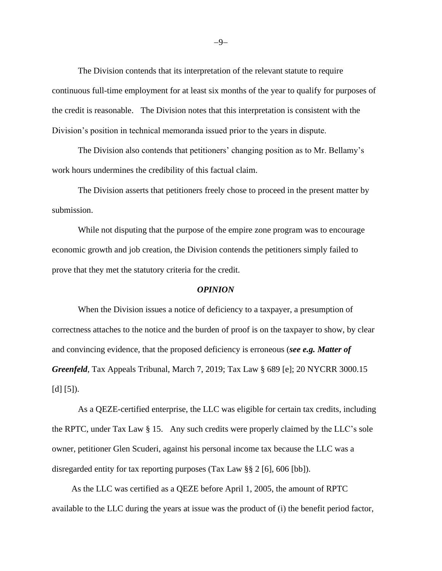The Division contends that its interpretation of the relevant statute to require continuous full-time employment for at least six months of the year to qualify for purposes of the credit is reasonable. The Division notes that this interpretation is consistent with the Division's position in technical memoranda issued prior to the years in dispute.

The Division also contends that petitioners' changing position as to Mr. Bellamy's work hours undermines the credibility of this factual claim.

The Division asserts that petitioners freely chose to proceed in the present matter by submission.

While not disputing that the purpose of the empire zone program was to encourage economic growth and job creation, the Division contends the petitioners simply failed to prove that they met the statutory criteria for the credit.

### *OPINION*

When the Division issues a notice of deficiency to a taxpayer, a presumption of correctness attaches to the notice and the burden of proof is on the taxpayer to show, by clear and convincing evidence, that the proposed deficiency is erroneous (*see e.g. Matter of Greenfeld*, Tax Appeals Tribunal, March 7, 2019; Tax Law § 689 [e]; 20 NYCRR 3000.15  $[d] [5]$ .

As a QEZE-certified enterprise, the LLC was eligible for certain tax credits, including the RPTC, under Tax Law § 15. Any such credits were properly claimed by the LLC's sole owner, petitioner Glen Scuderi, against his personal income tax because the LLC was a disregarded entity for tax reporting purposes (Tax Law §§ 2 [6], 606 [bb]).

As the LLC was certified as a QEZE before April 1, 2005, the amount of RPTC available to the LLC during the years at issue was the product of (i) the benefit period factor,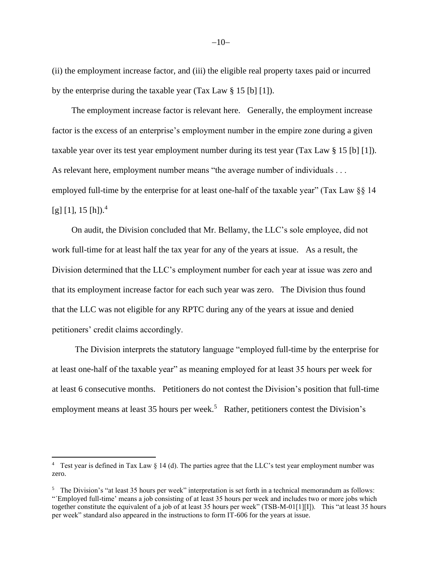(ii) the employment increase factor, and (iii) the eligible real property taxes paid or incurred by the enterprise during the taxable year (Tax Law § 15 [b] [1]).

The employment increase factor is relevant here. Generally, the employment increase factor is the excess of an enterprise's employment number in the empire zone during a given taxable year over its test year employment number during its test year (Tax Law § 15 [b] [1]). As relevant here, employment number means "the average number of individuals . . . employed full-time by the enterprise for at least one-half of the taxable year" (Tax Law §§ 14  $[g]$  [1], 15 [h]).<sup>4</sup>

On audit, the Division concluded that Mr. Bellamy, the LLC's sole employee, did not work full-time for at least half the tax year for any of the years at issue. As a result, the Division determined that the LLC's employment number for each year at issue was zero and that its employment increase factor for each such year was zero. The Division thus found that the LLC was not eligible for any RPTC during any of the years at issue and denied petitioners' credit claims accordingly.

The Division interprets the statutory language "employed full-time by the enterprise for at least one-half of the taxable year" as meaning employed for at least 35 hours per week for at least 6 consecutive months. Petitioners do not contest the Division's position that full-time employment means at least 35 hours per week.<sup>5</sup> Rather, petitioners contest the Division's

<sup>&</sup>lt;sup>4</sup> Test year is defined in Tax Law  $\S$  14 (d). The parties agree that the LLC's test year employment number was zero.

<sup>&</sup>lt;sup>5</sup> The Division's "at least 35 hours per week" interpretation is set forth in a technical memorandum as follows: "´Employed full-time' means a job consisting of at least 35 hours per week and includes two or more jobs which together constitute the equivalent of a job of at least 35 hours per week" (TSB-M-01[1][I]). This "at least 35 hours per week" standard also appeared in the instructions to form IT-606 for the years at issue.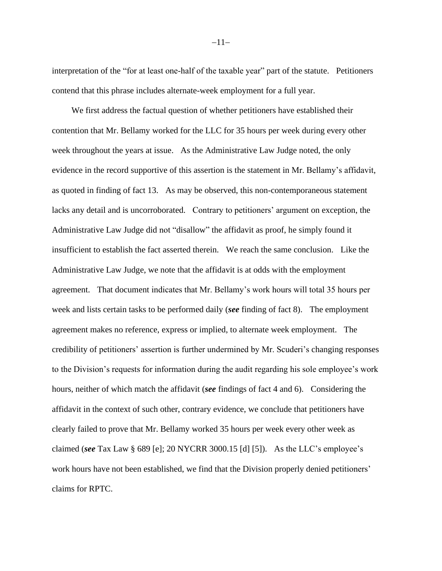interpretation of the "for at least one-half of the taxable year" part of the statute. Petitioners contend that this phrase includes alternate-week employment for a full year.

We first address the factual question of whether petitioners have established their contention that Mr. Bellamy worked for the LLC for 35 hours per week during every other week throughout the years at issue. As the Administrative Law Judge noted, the only evidence in the record supportive of this assertion is the statement in Mr. Bellamy's affidavit, as quoted in finding of fact 13. As may be observed, this non-contemporaneous statement lacks any detail and is uncorroborated. Contrary to petitioners' argument on exception, the Administrative Law Judge did not "disallow" the affidavit as proof, he simply found it insufficient to establish the fact asserted therein. We reach the same conclusion. Like the Administrative Law Judge, we note that the affidavit is at odds with the employment agreement. That document indicates that Mr. Bellamy's work hours will total 35 hours per week and lists certain tasks to be performed daily (*see* finding of fact 8). The employment agreement makes no reference, express or implied, to alternate week employment. The credibility of petitioners' assertion is further undermined by Mr. Scuderi's changing responses to the Division's requests for information during the audit regarding his sole employee's work hours, neither of which match the affidavit (*see* findings of fact 4 and 6). Considering the affidavit in the context of such other, contrary evidence, we conclude that petitioners have clearly failed to prove that Mr. Bellamy worked 35 hours per week every other week as claimed (*see* Tax Law § 689 [e]; 20 NYCRR 3000.15 [d] [5]). As the LLC's employee's work hours have not been established, we find that the Division properly denied petitioners' claims for RPTC.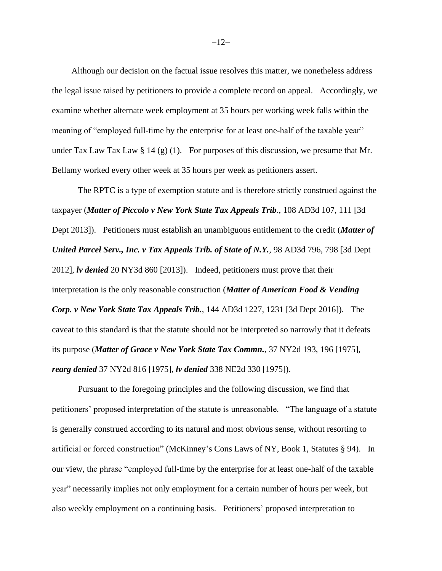Although our decision on the factual issue resolves this matter, we nonetheless address the legal issue raised by petitioners to provide a complete record on appeal. Accordingly, we examine whether alternate week employment at 35 hours per working week falls within the meaning of "employed full-time by the enterprise for at least one-half of the taxable year" under Tax Law Tax Law  $\S 14$  (g) (1). For purposes of this discussion, we presume that Mr. Bellamy worked every other week at 35 hours per week as petitioners assert.

The RPTC is a type of exemption statute and is therefore strictly construed against the taxpayer (*Matter of Piccolo v New York State Tax Appeals Trib*., 108 AD3d 107, 111 [3d Dept 2013]). Petitioners must establish an unambiguous entitlement to the credit (*Matter of United Parcel Serv., Inc. v Tax Appeals Trib. of State of N.Y.*, 98 AD3d 796, 798 [3d Dept 2012], *lv denied* 20 NY3d 860 [2013]). Indeed, petitioners must prove that their interpretation is the only reasonable construction (*Matter of American Food & Vending Corp. v New York State Tax Appeals Trib.*, 144 AD3d 1227, 1231 [3d Dept 2016]). The caveat to this standard is that the statute should not be interpreted so narrowly that it defeats its purpose (*Matter of Grace v New York State Tax Commn.*, 37 NY2d 193, 196 [1975], *rearg denied* 37 NY2d 816 [1975], *lv denied* 338 NE2d 330 [1975]).

Pursuant to the foregoing principles and the following discussion, we find that petitioners' proposed interpretation of the statute is unreasonable. "The language of a statute is generally construed according to its natural and most obvious sense, without resorting to artificial or forced construction" (McKinney's Cons Laws of NY, Book 1, Statutes § 94). In our view, the phrase "employed full-time by the enterprise for at least one-half of the taxable year" necessarily implies not only employment for a certain number of hours per week, but also weekly employment on a continuing basis. Petitioners' proposed interpretation to

 $-12-$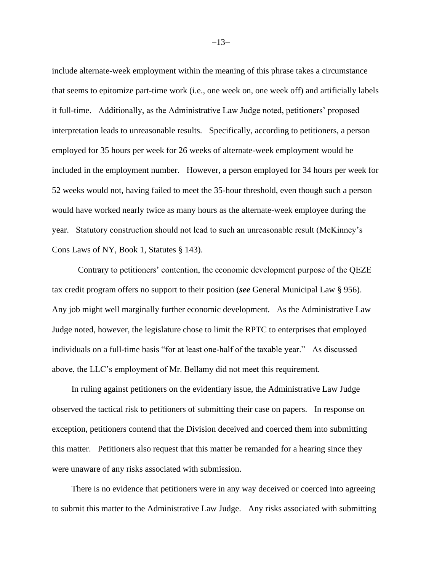include alternate-week employment within the meaning of this phrase takes a circumstance that seems to epitomize part-time work (i.e., one week on, one week off) and artificially labels it full-time. Additionally, as the Administrative Law Judge noted, petitioners' proposed interpretation leads to unreasonable results. Specifically, according to petitioners, a person employed for 35 hours per week for 26 weeks of alternate-week employment would be included in the employment number. However, a person employed for 34 hours per week for 52 weeks would not, having failed to meet the 35-hour threshold, even though such a person would have worked nearly twice as many hours as the alternate-week employee during the year. Statutory construction should not lead to such an unreasonable result (McKinney's Cons Laws of NY, Book 1, Statutes § 143).

Contrary to petitioners' contention, the economic development purpose of the QEZE tax credit program offers no support to their position (*see* General Municipal Law § 956). Any job might well marginally further economic development. As the Administrative Law Judge noted, however, the legislature chose to limit the RPTC to enterprises that employed individuals on a full-time basis "for at least one-half of the taxable year." As discussed above, the LLC's employment of Mr. Bellamy did not meet this requirement.

In ruling against petitioners on the evidentiary issue, the Administrative Law Judge observed the tactical risk to petitioners of submitting their case on papers. In response on exception, petitioners contend that the Division deceived and coerced them into submitting this matter. Petitioners also request that this matter be remanded for a hearing since they were unaware of any risks associated with submission.

There is no evidence that petitioners were in any way deceived or coerced into agreeing to submit this matter to the Administrative Law Judge. Any risks associated with submitting

−13−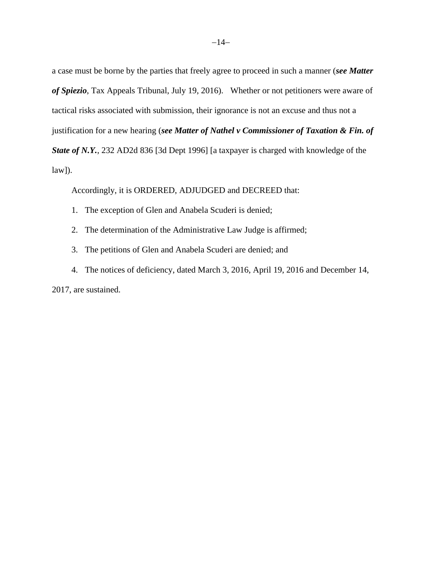a case must be borne by the parties that freely agree to proceed in such a manner (*see Matter of Spiezio*, Tax Appeals Tribunal, July 19, 2016). Whether or not petitioners were aware of tactical risks associated with submission, their ignorance is not an excuse and thus not a justification for a new hearing (*see Matter of Nathel v Commissioner of Taxation & Fin. of State of N.Y.*, 232 AD2d 836 [3d Dept 1996] [a taxpayer is charged with knowledge of the  $law$ ]).

Accordingly, it is ORDERED, ADJUDGED and DECREED that:

- 1. The exception of Glen and Anabela Scuderi is denied;
- 2. The determination of the Administrative Law Judge is affirmed;
- 3. The petitions of Glen and Anabela Scuderi are denied; and
- 4. The notices of deficiency, dated March 3, 2016, April 19, 2016 and December 14,

2017, are sustained.